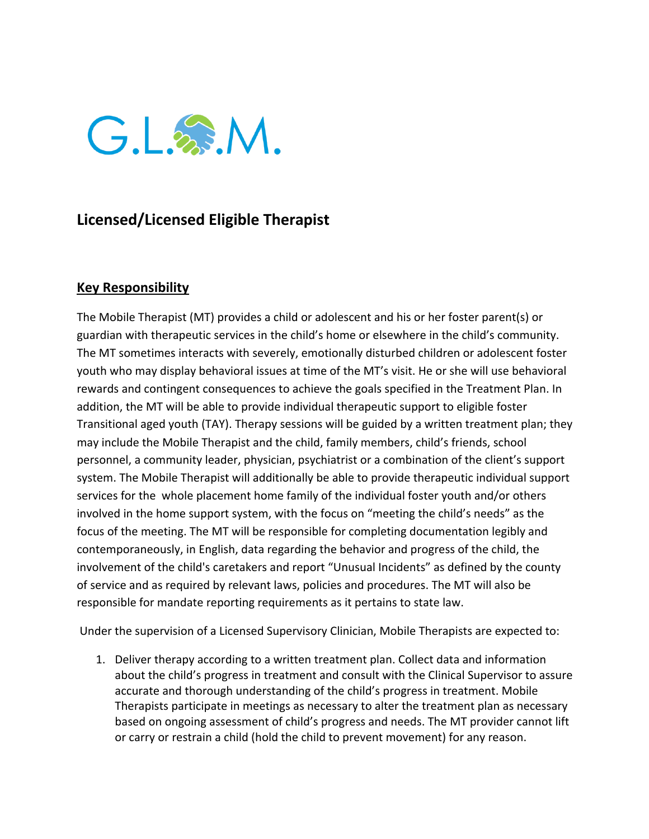

## **Licensed/Licensed Eligible Therapist**

## **Key Responsibility**

The Mobile Therapist (MT) provides a child or adolescent and his or her foster parent(s) or guardian with therapeutic services in the child's home or elsewhere in the child's community. The MT sometimes interacts with severely, emotionally disturbed children or adolescent foster youth who may display behavioral issues at time of the MT's visit. He or she will use behavioral rewards and contingent consequences to achieve the goals specified in the Treatment Plan. In addition, the MT will be able to provide individual therapeutic support to eligible foster Transitional aged youth (TAY). Therapy sessions will be guided by a written treatment plan; they may include the Mobile Therapist and the child, family members, child's friends, school personnel, a community leader, physician, psychiatrist or a combination of the client's support system. The Mobile Therapist will additionally be able to provide therapeutic individual support services for the whole placement home family of the individual foster youth and/or others involved in the home support system, with the focus on "meeting the child's needs" as the focus of the meeting. The MT will be responsible for completing documentation legibly and contemporaneously, in English, data regarding the behavior and progress of the child, the involvement of the child's caretakers and report "Unusual Incidents" as defined by the county of service and as required by relevant laws, policies and procedures. The MT will also be responsible for mandate reporting requirements as it pertains to state law.

Under the supervision of a Licensed Supervisory Clinician, Mobile Therapists are expected to:

1. Deliver therapy according to a written treatment plan. Collect data and information about the child's progress in treatment and consult with the Clinical Supervisor to assure accurate and thorough understanding of the child's progress in treatment. Mobile Therapists participate in meetings as necessary to alter the treatment plan as necessary based on ongoing assessment of child's progress and needs. The MT provider cannot lift or carry or restrain a child (hold the child to prevent movement) for any reason.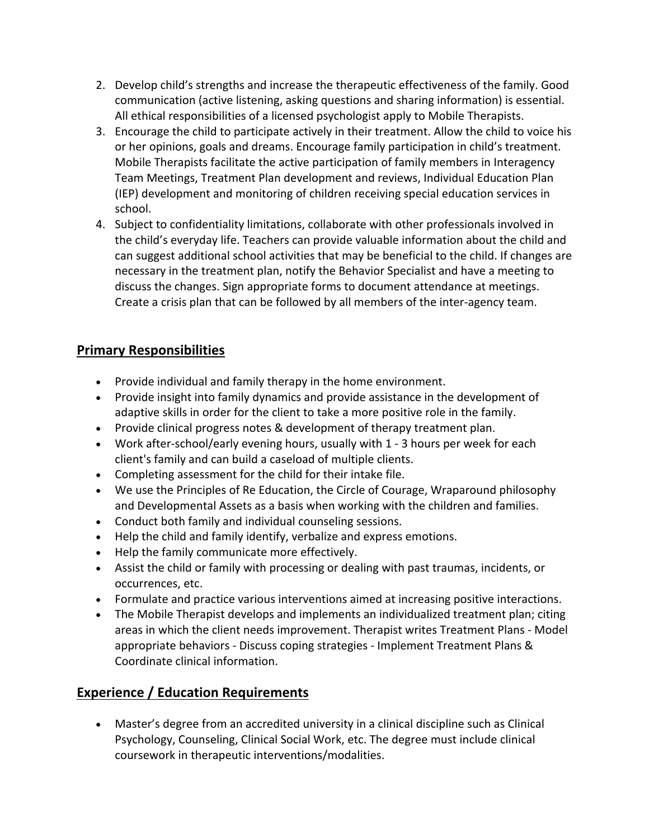- 2. Develop child's strengths and increase the therapeutic effectiveness of the family. Good communication (active listening, asking questions and sharing information) is essential. All ethical responsibilities of a licensed psychologist apply to Mobile Therapists.
- 3. Encourage the child to participate actively in their treatment. Allow the child to voice his or her opinions, goals and dreams. Encourage family participation in child's treatment. Mobile Therapists facilitate the active participation of family members in Interagency Team Meetings, Treatment Plan development and reviews, Individual Education Plan (IEP) development and monitoring of children receiving special education services in school.
- 4. Subject to confidentiality limitations, collaborate with other professionals involved in the child's everyday life. Teachers can provide valuable information about the child and can suggest additional school activities that may be beneficial to the child. If changes are necessary in the treatment plan, notify the Behavior Specialist and have a meeting to discuss the changes. Sign appropriate forms to document attendance at meetings. Create a crisis plan that can be followed by all members of the inter-agency team.

## **Primary Responsibilities**

- Provide individual and family therapy in the home environment.
- Provide insight into family dynamics and provide assistance in the development of adaptive skills in order for the client to take a more positive role in the family.
- Provide clinical progress notes & development of therapy treatment plan.
- Work after-school/early evening hours, usually with 1 3 hours per week for each client's family and can build a caseload of multiple clients.
- Completing assessment for the child for their intake file.
- We use the Principles of Re Education, the Circle of Courage, Wraparound philosophy and Developmental Assets as a basis when working with the children and families.
- Conduct both family and individual counseling sessions.
- Help the child and family identify, verbalize and express emotions.
- Help the family communicate more effectively.
- Assist the child or family with processing or dealing with past traumas, incidents, or occurrences, etc.
- Formulate and practice various interventions aimed at increasing positive interactions.
- The Mobile Therapist develops and implements an individualized treatment plan; citing areas in which the client needs improvement. Therapist writes Treatment Plans - Model appropriate behaviors - Discuss coping strategies - Implement Treatment Plans & Coordinate clinical information.

## **Experience / Education Requirements**

• Master's degree from an accredited university in a clinical discipline such as Clinical Psychology, Counseling, Clinical Social Work, etc. The degree must include clinical coursework in therapeutic interventions/modalities.